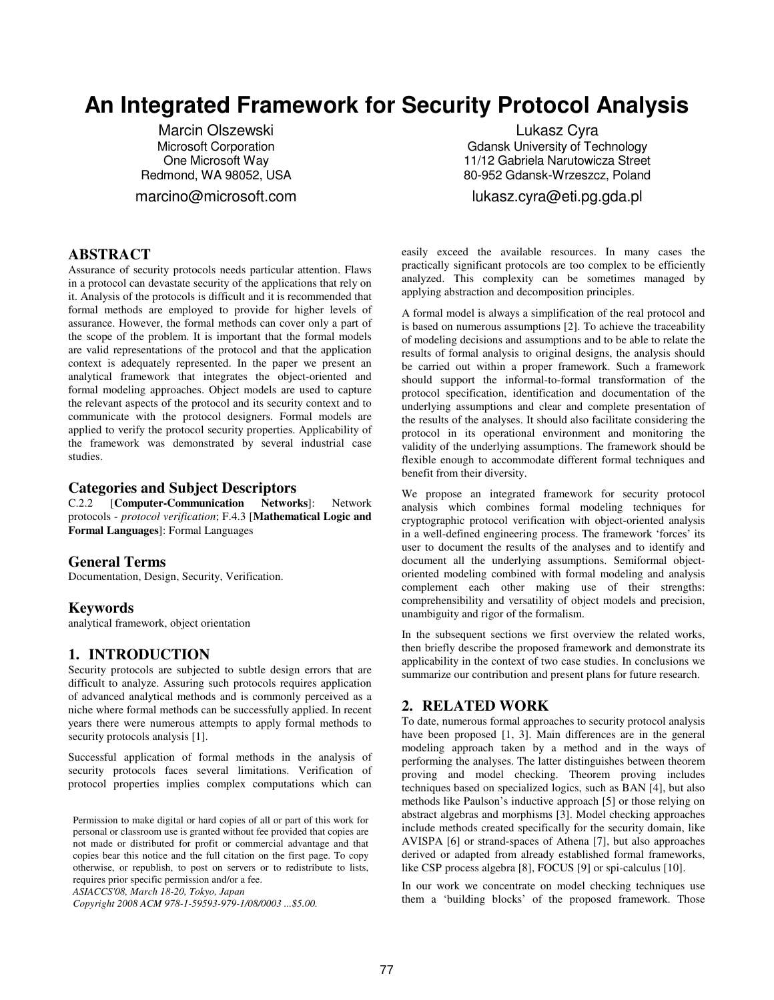# **An Integrated Framework for Security Protocol Analysis**

Marcin Olszewski Microsoft Corporation One Microsoft Way Redmond, WA 98052, USA marcino@microsoft.com

## **ABSTRACT**

Assurance of security protocols needs particular attention. Flaws in a protocol can devastate security of the applications that rely on it. Analysis of the protocols is difficult and it is recommended that formal methods are employed to provide for higher levels of assurance. However, the formal methods can cover only a part of the scope of the problem. It is important that the formal models are valid representations of the protocol and that the application context is adequately represented. In the paper we present an analytical framework that integrates the object-oriented and formal modeling approaches. Object models are used to capture the relevant aspects of the protocol and its security context and to communicate with the protocol designers. Formal models are applied to verify the protocol security properties. Applicability of the framework was demonstrated by several industrial case studies.

## **Categories and Subject Descriptors**

C.2.2 [**Computer-Communication Networks**]: Network protocols - *protocol verification*; F.4.3 [**Mathematical Logic and Formal Languages**]: Formal Languages

## **General Terms**

Documentation, Design, Security, Verification.

#### **Keywords**

analytical framework, object orientation

# **1. INTRODUCTION**

Security protocols are subjected to subtle design errors that are difficult to analyze. Assuring such protocols requires application of advanced analytical methods and is commonly perceived as a niche where formal methods can be successfully applied. In recent years there were numerous attempts to apply formal methods to security protocols analysis [1].

Successful application of formal methods in the analysis of security protocols faces several limitations. Verification of protocol properties implies complex computations which can

Permission to make digital or hard copies of all or part of this work for personal or classroom use is granted without fee provided that copies are not made or distributed for profit or commercial advantage and that copies bear this notice and the full citation on the first page. To copy otherwise, or republish, to post on servers or to redistribute to lists, requires prior specific permission and/or a fee.

*ASIACCS'08, March 18-20, Tokyo, Japan* 

*Copyright 2008 ACM 978-1-59593-979-1/08/0003 ...\$5.00.*

Lukasz Cyra Gdansk University of Technology 11/12 Gabriela Narutowicza Street 80-952 Gdansk-Wrzeszcz, Poland

lukasz.cyra@eti.pg.gda.pl

easily exceed the available resources. In many cases the practically significant protocols are too complex to be efficiently analyzed. This complexity can be sometimes managed by applying abstraction and decomposition principles.

A formal model is always a simplification of the real protocol and is based on numerous assumptions [2]. To achieve the traceability of modeling decisions and assumptions and to be able to relate the results of formal analysis to original designs, the analysis should be carried out within a proper framework. Such a framework should support the informal-to-formal transformation of the protocol specification, identification and documentation of the underlying assumptions and clear and complete presentation of the results of the analyses. It should also facilitate considering the protocol in its operational environment and monitoring the validity of the underlying assumptions. The framework should be flexible enough to accommodate different formal techniques and benefit from their diversity.

We propose an integrated framework for security protocol analysis which combines formal modeling techniques for cryptographic protocol verification with object-oriented analysis in a well-defined engineering process. The framework 'forces' its user to document the results of the analyses and to identify and document all the underlying assumptions. Semiformal objectoriented modeling combined with formal modeling and analysis complement each other making use of their strengths: comprehensibility and versatility of object models and precision, unambiguity and rigor of the formalism.

In the subsequent sections we first overview the related works, then briefly describe the proposed framework and demonstrate its applicability in the context of two case studies. In conclusions we summarize our contribution and present plans for future research.

## **2. RELATED WORK**

To date, numerous formal approaches to security protocol analysis have been proposed [1, 3]. Main differences are in the general modeling approach taken by a method and in the ways of performing the analyses. The latter distinguishes between theorem proving and model checking. Theorem proving includes techniques based on specialized logics, such as BAN [4], but also methods like Paulson's inductive approach [5] or those relying on abstract algebras and morphisms [3]. Model checking approaches include methods created specifically for the security domain, like AVISPA [6] or strand-spaces of Athena [7], but also approaches derived or adapted from already established formal frameworks, like CSP process algebra [8], FOCUS [9] or spi-calculus [10].

In our work we concentrate on model checking techniques use them a 'building blocks' of the proposed framework. Those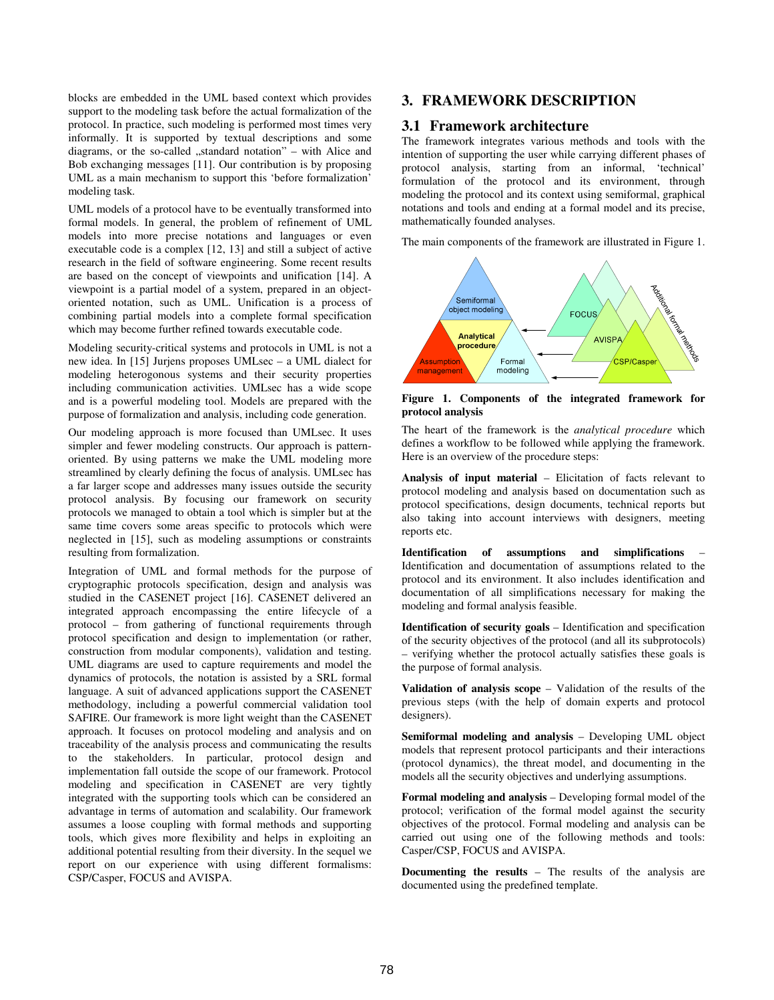blocks are embedded in the UML based context which provides support to the modeling task before the actual formalization of the protocol. In practice, such modeling is performed most times very informally. It is supported by textual descriptions and some diagrams, or the so-called "standard notation" – with Alice and Bob exchanging messages [11]. Our contribution is by proposing UML as a main mechanism to support this 'before formalization' modeling task.

UML models of a protocol have to be eventually transformed into formal models. In general, the problem of refinement of UML models into more precise notations and languages or even executable code is a complex [12, 13] and still a subject of active research in the field of software engineering. Some recent results are based on the concept of viewpoints and unification [14]. A viewpoint is a partial model of a system, prepared in an objectoriented notation, such as UML. Unification is a process of combining partial models into a complete formal specification which may become further refined towards executable code.

Modeling security-critical systems and protocols in UML is not a new idea. In [15] Jurjens proposes UMLsec – a UML dialect for modeling heterogonous systems and their security properties including communication activities. UMLsec has a wide scope and is a powerful modeling tool. Models are prepared with the purpose of formalization and analysis, including code generation.

Our modeling approach is more focused than UMLsec. It uses simpler and fewer modeling constructs. Our approach is patternoriented. By using patterns we make the UML modeling more streamlined by clearly defining the focus of analysis. UMLsec has a far larger scope and addresses many issues outside the security protocol analysis. By focusing our framework on security protocols we managed to obtain a tool which is simpler but at the same time covers some areas specific to protocols which were neglected in [15], such as modeling assumptions or constraints resulting from formalization.

Integration of UML and formal methods for the purpose of cryptographic protocols specification, design and analysis was studied in the CASENET project [16]. CASENET delivered an integrated approach encompassing the entire lifecycle of a protocol – from gathering of functional requirements through protocol specification and design to implementation (or rather, construction from modular components), validation and testing. UML diagrams are used to capture requirements and model the dynamics of protocols, the notation is assisted by a SRL formal language. A suit of advanced applications support the CASENET methodology, including a powerful commercial validation tool SAFIRE. Our framework is more light weight than the CASENET approach. It focuses on protocol modeling and analysis and on traceability of the analysis process and communicating the results to the stakeholders. In particular, protocol design and implementation fall outside the scope of our framework. Protocol modeling and specification in CASENET are very tightly integrated with the supporting tools which can be considered an advantage in terms of automation and scalability. Our framework assumes a loose coupling with formal methods and supporting tools, which gives more flexibility and helps in exploiting an additional potential resulting from their diversity. In the sequel we report on our experience with using different formalisms: CSP/Casper, FOCUS and AVISPA.

# **3. FRAMEWORK DESCRIPTION**

#### **3.1 Framework architecture**

The framework integrates various methods and tools with the intention of supporting the user while carrying different phases of protocol analysis, starting from an informal, 'technical' formulation of the protocol and its environment, through modeling the protocol and its context using semiformal, graphical notations and tools and ending at a formal model and its precise, mathematically founded analyses.

The main components of the framework are illustrated in Figure 1.



**Figure 1. Components of the integrated framework for protocol analysis** 

The heart of the framework is the *analytical procedure* which defines a workflow to be followed while applying the framework. Here is an overview of the procedure steps:

**Analysis of input material** – Elicitation of facts relevant to protocol modeling and analysis based on documentation such as protocol specifications, design documents, technical reports but also taking into account interviews with designers, meeting reports etc.

**Identification of assumptions and simplifications** – Identification and documentation of assumptions related to the protocol and its environment. It also includes identification and documentation of all simplifications necessary for making the modeling and formal analysis feasible.

**Identification of security goals** – Identification and specification of the security objectives of the protocol (and all its subprotocols) – verifying whether the protocol actually satisfies these goals is the purpose of formal analysis.

**Validation of analysis scope** – Validation of the results of the previous steps (with the help of domain experts and protocol designers).

**Semiformal modeling and analysis** – Developing UML object models that represent protocol participants and their interactions (protocol dynamics), the threat model, and documenting in the models all the security objectives and underlying assumptions.

**Formal modeling and analysis** – Developing formal model of the protocol; verification of the formal model against the security objectives of the protocol. Formal modeling and analysis can be carried out using one of the following methods and tools: Casper/CSP, FOCUS and AVISPA.

**Documenting the results** – The results of the analysis are documented using the predefined template.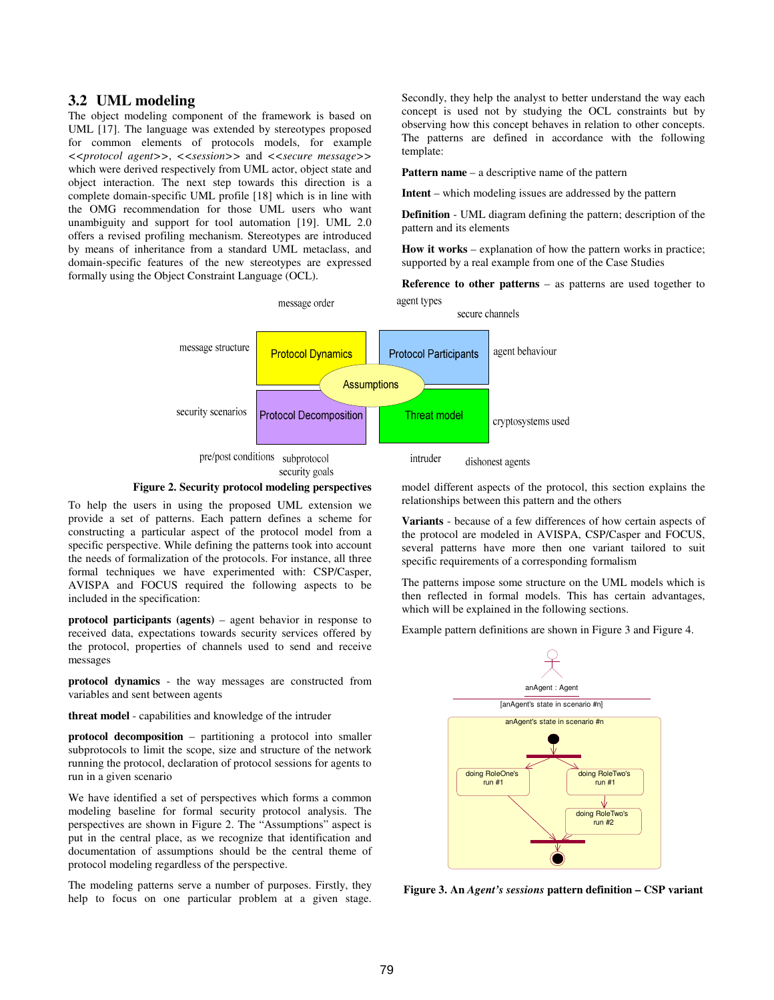#### **3.2 UML modeling**

The object modeling component of the framework is based on UML [17]. The language was extended by stereotypes proposed for common elements of protocols models, for example *<<protocol agent>>*, *<<session>>* and *<<secure message>>* which were derived respectively from UML actor, object state and object interaction. The next step towards this direction is a complete domain-specific UML profile [18] which is in line with the OMG recommendation for those UML users who want unambiguity and support for tool automation [19]. UML 2.0 offers a revised profiling mechanism. Stereotypes are introduced by means of inheritance from a standard UML metaclass, and domain-specific features of the new stereotypes are expressed formally using the Object Constraint Language (OCL).

Secondly, they help the analyst to better understand the way each concept is used not by studying the OCL constraints but by observing how this concept behaves in relation to other concepts. The patterns are defined in accordance with the following template:

**Pattern name** – a descriptive name of the pattern

**Intent** – which modeling issues are addressed by the pattern

**Definition** - UML diagram defining the pattern; description of the pattern and its elements

**How it works** – explanation of how the pattern works in practice; supported by a real example from one of the Case Studies

**Reference to other patterns** – as patterns are used together to



#### **Figure 2. Security protocol modeling perspectives**

To help the users in using the proposed UML extension we provide a set of patterns. Each pattern defines a scheme for constructing a particular aspect of the protocol model from a specific perspective. While defining the patterns took into account the needs of formalization of the protocols. For instance, all three formal techniques we have experimented with: CSP/Casper, AVISPA and FOCUS required the following aspects to be included in the specification:

**protocol participants (agents)** – agent behavior in response to received data, expectations towards security services offered by the protocol, properties of channels used to send and receive messages

**protocol dynamics** - the way messages are constructed from variables and sent between agents

**threat model** - capabilities and knowledge of the intruder

**protocol decomposition** – partitioning a protocol into smaller subprotocols to limit the scope, size and structure of the network running the protocol, declaration of protocol sessions for agents to run in a given scenario

We have identified a set of perspectives which forms a common modeling baseline for formal security protocol analysis. The perspectives are shown in Figure 2. The "Assumptions" aspect is put in the central place, as we recognize that identification and documentation of assumptions should be the central theme of protocol modeling regardless of the perspective.

The modeling patterns serve a number of purposes. Firstly, they help to focus on one particular problem at a given stage. model different aspects of the protocol, this section explains the relationships between this pattern and the others

**Variants** - because of a few differences of how certain aspects of the protocol are modeled in AVISPA, CSP/Casper and FOCUS, several patterns have more then one variant tailored to suit specific requirements of a corresponding formalism

The patterns impose some structure on the UML models which is then reflected in formal models. This has certain advantages, which will be explained in the following sections.

Example pattern definitions are shown in Figure 3 and Figure 4.



**Figure 3. An** *Agent's sessions* **pattern definition – CSP variant**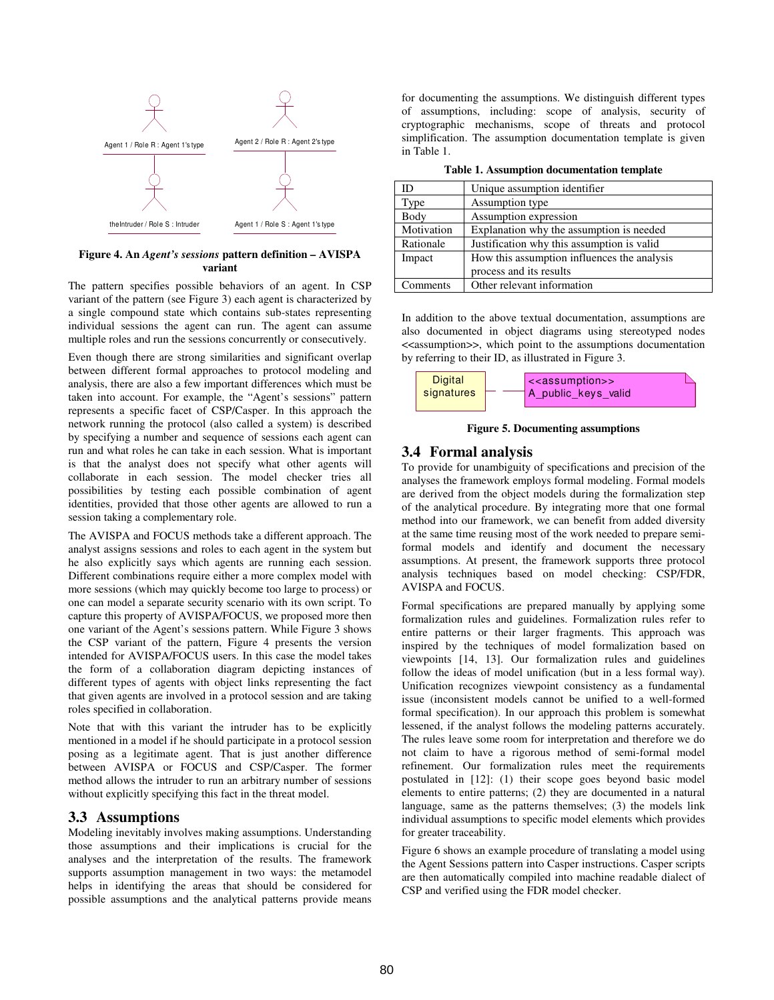

#### **Figure 4. An** *Agent's sessions* **pattern definition – AVISPA variant**

The pattern specifies possible behaviors of an agent. In CSP variant of the pattern (see Figure 3) each agent is characterized by a single compound state which contains sub-states representing individual sessions the agent can run. The agent can assume multiple roles and run the sessions concurrently or consecutively.

Even though there are strong similarities and significant overlap between different formal approaches to protocol modeling and analysis, there are also a few important differences which must be taken into account. For example, the "Agent's sessions" pattern represents a specific facet of CSP/Casper. In this approach the network running the protocol (also called a system) is described by specifying a number and sequence of sessions each agent can run and what roles he can take in each session. What is important is that the analyst does not specify what other agents will collaborate in each session. The model checker tries all possibilities by testing each possible combination of agent identities, provided that those other agents are allowed to run a session taking a complementary role.

The AVISPA and FOCUS methods take a different approach. The analyst assigns sessions and roles to each agent in the system but he also explicitly says which agents are running each session. Different combinations require either a more complex model with more sessions (which may quickly become too large to process) or one can model a separate security scenario with its own script. To capture this property of AVISPA/FOCUS, we proposed more then one variant of the Agent's sessions pattern. While Figure 3 shows the CSP variant of the pattern, Figure 4 presents the version intended for AVISPA/FOCUS users. In this case the model takes the form of a collaboration diagram depicting instances of different types of agents with object links representing the fact that given agents are involved in a protocol session and are taking roles specified in collaboration.

Note that with this variant the intruder has to be explicitly mentioned in a model if he should participate in a protocol session posing as a legitimate agent. That is just another difference between AVISPA or FOCUS and CSP/Casper. The former method allows the intruder to run an arbitrary number of sessions without explicitly specifying this fact in the threat model.

#### **3.3 Assumptions**

Modeling inevitably involves making assumptions. Understanding those assumptions and their implications is crucial for the analyses and the interpretation of the results. The framework supports assumption management in two ways: the metamodel helps in identifying the areas that should be considered for possible assumptions and the analytical patterns provide means for documenting the assumptions. We distinguish different types of assumptions, including: scope of analysis, security of cryptographic mechanisms, scope of threats and protocol simplification. The assumption documentation template is given in Table 1.

|  | Table 1. Assumption documentation template |
|--|--------------------------------------------|
|--|--------------------------------------------|

| ID         | Unique assumption identifier                |  |
|------------|---------------------------------------------|--|
| Type       | Assumption type                             |  |
| Body       | Assumption expression                       |  |
| Motivation | Explanation why the assumption is needed    |  |
| Rationale  | Justification why this assumption is valid  |  |
| Impact     | How this assumption influences the analysis |  |
|            | process and its results                     |  |
| Comments   | Other relevant information                  |  |

In addition to the above textual documentation, assumptions are also documented in object diagrams using stereotyped nodes <<assumption>>, which point to the assumptions documentation by referring to their ID, as illustrated in Figure 3.



#### **Figure 5. Documenting assumptions**

## **3.4 Formal analysis**

To provide for unambiguity of specifications and precision of the analyses the framework employs formal modeling. Formal models are derived from the object models during the formalization step of the analytical procedure. By integrating more that one formal method into our framework, we can benefit from added diversity at the same time reusing most of the work needed to prepare semiformal models and identify and document the necessary assumptions. At present, the framework supports three protocol analysis techniques based on model checking: CSP/FDR, AVISPA and FOCUS.

Formal specifications are prepared manually by applying some formalization rules and guidelines. Formalization rules refer to entire patterns or their larger fragments. This approach was inspired by the techniques of model formalization based on viewpoints [14, 13]. Our formalization rules and guidelines follow the ideas of model unification (but in a less formal way). Unification recognizes viewpoint consistency as a fundamental issue (inconsistent models cannot be unified to a well-formed formal specification). In our approach this problem is somewhat lessened, if the analyst follows the modeling patterns accurately. The rules leave some room for interpretation and therefore we do not claim to have a rigorous method of semi-formal model refinement. Our formalization rules meet the requirements postulated in [12]: (1) their scope goes beyond basic model elements to entire patterns; (2) they are documented in a natural language, same as the patterns themselves; (3) the models link individual assumptions to specific model elements which provides for greater traceability.

Figure 6 shows an example procedure of translating a model using the Agent Sessions pattern into Casper instructions. Casper scripts are then automatically compiled into machine readable dialect of CSP and verified using the FDR model checker.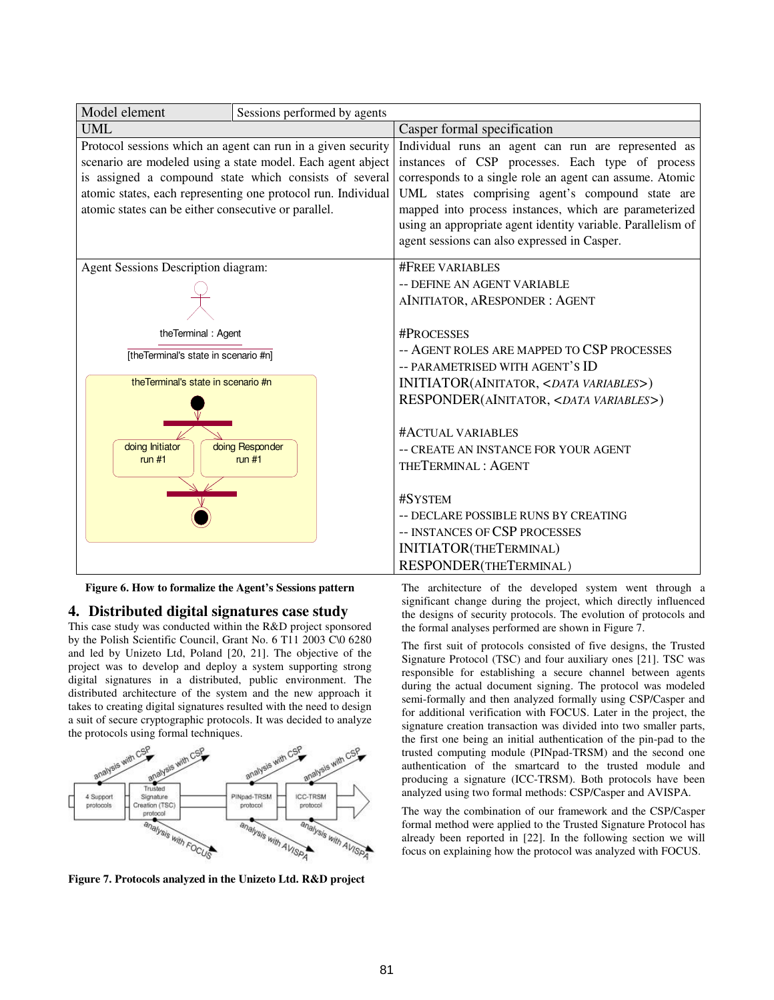| Model element                                                                                                                                                                                                                                                                                                  | Sessions performed by agents |                                                                                                                                                                                                                                                                                                                                                                                                   |  |
|----------------------------------------------------------------------------------------------------------------------------------------------------------------------------------------------------------------------------------------------------------------------------------------------------------------|------------------------------|---------------------------------------------------------------------------------------------------------------------------------------------------------------------------------------------------------------------------------------------------------------------------------------------------------------------------------------------------------------------------------------------------|--|
| <b>UML</b>                                                                                                                                                                                                                                                                                                     |                              | Casper formal specification                                                                                                                                                                                                                                                                                                                                                                       |  |
| Protocol sessions which an agent can run in a given security<br>scenario are modeled using a state model. Each agent abject<br>is assigned a compound state which consists of several<br>atomic states, each representing one protocol run. Individual<br>atomic states can be either consecutive or parallel. |                              | Individual runs an agent can run are represented as<br>instances of CSP processes. Each type of process<br>corresponds to a single role an agent can assume. Atomic<br>UML states comprising agent's compound state are<br>mapped into process instances, which are parameterized<br>using an appropriate agent identity variable. Parallelism of<br>agent sessions can also expressed in Casper. |  |
| Agent Sessions Description diagram:                                                                                                                                                                                                                                                                            |                              | <b>#FREE VARIABLES</b>                                                                                                                                                                                                                                                                                                                                                                            |  |
|                                                                                                                                                                                                                                                                                                                |                              | -- DEFINE AN AGENT VARIABLE<br>AINITIATOR, ARESPONDER : AGENT                                                                                                                                                                                                                                                                                                                                     |  |
| theTerminal: Agent                                                                                                                                                                                                                                                                                             |                              | <b>#PROCESSES</b>                                                                                                                                                                                                                                                                                                                                                                                 |  |
| [theTerminal's state in scenario #n]                                                                                                                                                                                                                                                                           |                              | -- AGENT ROLES ARE MAPPED TO CSP PROCESSES<br>-- PARAMETRISED WITH AGENT'S ID                                                                                                                                                                                                                                                                                                                     |  |
| theTerminal's state in scenario #n                                                                                                                                                                                                                                                                             |                              | INITIATOR(AINITATOR, <data variables="">)<br/>RESPONDER(AINITATOR, <data variables="">)</data></data>                                                                                                                                                                                                                                                                                             |  |
|                                                                                                                                                                                                                                                                                                                |                              | <b>#ACTUAL VARIABLES</b>                                                                                                                                                                                                                                                                                                                                                                          |  |
| doing Initiator                                                                                                                                                                                                                                                                                                | doing Responder              | -- CREATE AN INSTANCE FOR YOUR AGENT                                                                                                                                                                                                                                                                                                                                                              |  |
| run $#1$                                                                                                                                                                                                                                                                                                       | run $#1$                     | THETERMINAL: AGENT                                                                                                                                                                                                                                                                                                                                                                                |  |
|                                                                                                                                                                                                                                                                                                                |                              | #SYSTEM<br>-- DECLARE POSSIBLE RUNS BY CREATING<br>-- INSTANCES OF CSP PROCESSES                                                                                                                                                                                                                                                                                                                  |  |
|                                                                                                                                                                                                                                                                                                                |                              | INITIATOR(THETERMINAL)<br>RESPONDER(THETERMINAL)                                                                                                                                                                                                                                                                                                                                                  |  |
|                                                                                                                                                                                                                                                                                                                |                              |                                                                                                                                                                                                                                                                                                                                                                                                   |  |

**Figure 6. How to formalize the Agent's Sessions pattern** 

# **4. Distributed digital signatures case study**

This case study was conducted within the R&D project sponsored by the Polish Scientific Council, Grant No. 6 T11 2003 C\0 6280 and led by Unizeto Ltd, Poland [20, 21]. The objective of the project was to develop and deploy a system supporting strong digital signatures in a distributed, public environment. The distributed architecture of the system and the new approach it takes to creating digital signatures resulted with the need to design a suit of secure cryptographic protocols. It was decided to analyze the protocols using formal techniques.



**Figure 7. Protocols analyzed in the Unizeto Ltd. R&D project** 

The architecture of the developed system went through a significant change during the project, which directly influenced the designs of security protocols. The evolution of protocols and the formal analyses performed are shown in Figure 7.

The first suit of protocols consisted of five designs, the Trusted Signature Protocol (TSC) and four auxiliary ones [21]. TSC was responsible for establishing a secure channel between agents during the actual document signing. The protocol was modeled semi-formally and then analyzed formally using CSP/Casper and for additional verification with FOCUS. Later in the project, the signature creation transaction was divided into two smaller parts, the first one being an initial authentication of the pin-pad to the trusted computing module (PINpad-TRSM) and the second one authentication of the smartcard to the trusted module and producing a signature (ICC-TRSM). Both protocols have been analyzed using two formal methods: CSP/Casper and AVISPA.

The way the combination of our framework and the CSP/Casper formal method were applied to the Trusted Signature Protocol has already been reported in [22]. In the following section we will focus on explaining how the protocol was analyzed with FOCUS.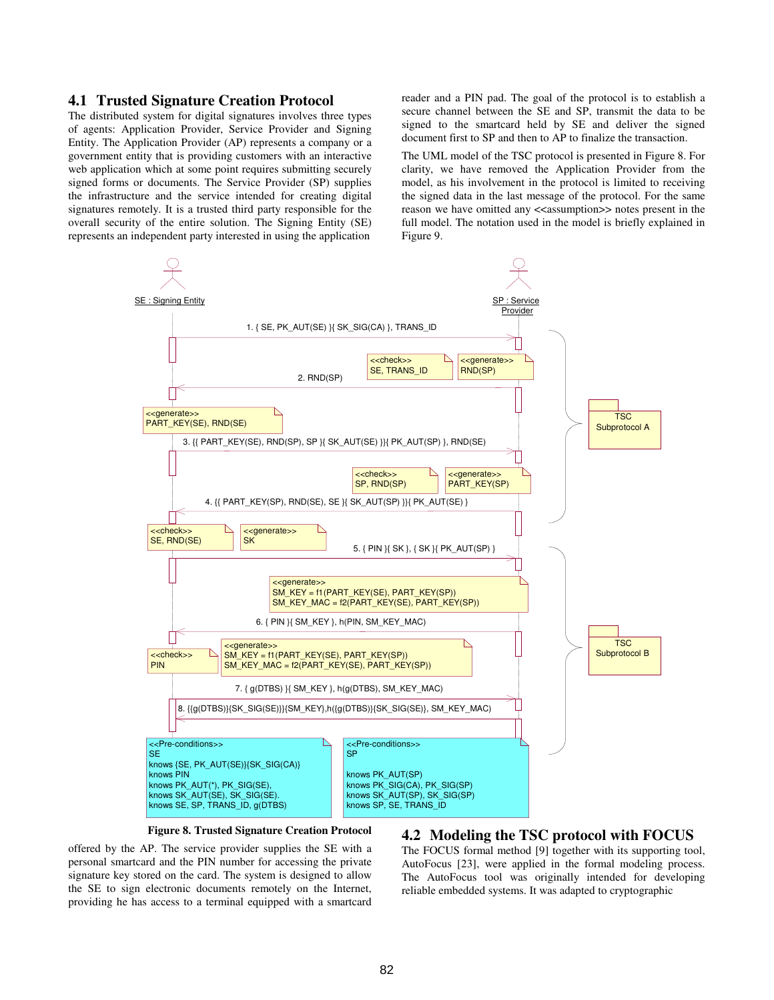#### **4.1 Trusted Signature Creation Protocol**

The distributed system for digital signatures involves three types of agents: Application Provider, Service Provider and Signing Entity. The Application Provider (AP) represents a company or a government entity that is providing customers with an interactive web application which at some point requires submitting securely signed forms or documents. The Service Provider (SP) supplies the infrastructure and the service intended for creating digital signatures remotely. It is a trusted third party responsible for the overall security of the entire solution. The Signing Entity (SE) represents an independent party interested in using the application

reader and a PIN pad. The goal of the protocol is to establish a secure channel between the SE and SP, transmit the data to be signed to the smartcard held by SE and deliver the signed document first to SP and then to AP to finalize the transaction.

The UML model of the TSC protocol is presented in Figure 8. For clarity, we have removed the Application Provider from the model, as his involvement in the protocol is limited to receiving the signed data in the last message of the protocol. For the same reason we have omitted any <<assumption>> notes present in the full model. The notation used in the model is briefly explained in Figure 9.



**Figure 8. Trusted Signature Creation Protocol** 

offered by the AP. The service provider supplies the SE with a personal smartcard and the PIN number for accessing the private signature key stored on the card. The system is designed to allow the SE to sign electronic documents remotely on the Internet, providing he has access to a terminal equipped with a smartcard

#### **4.2 Modeling the TSC protocol with FOCUS**

The FOCUS formal method [9] together with its supporting tool, AutoFocus [23], were applied in the formal modeling process. The AutoFocus tool was originally intended for developing reliable embedded systems. It was adapted to cryptographic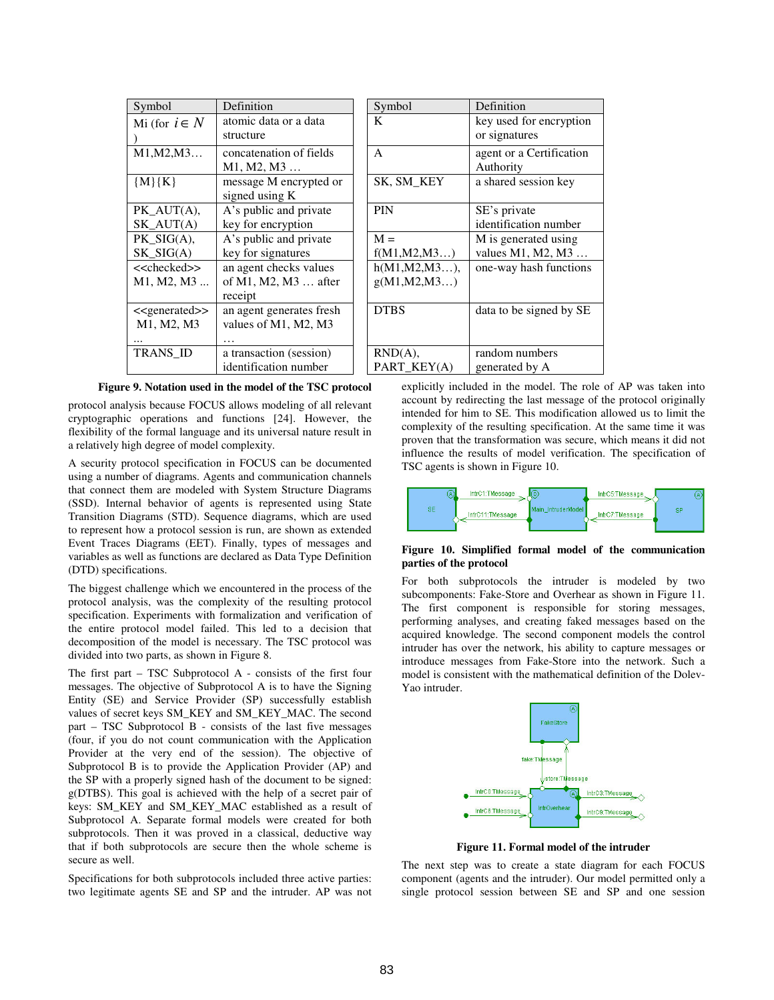| Symbol                        | Definition                   | Symbol          | Definition   |
|-------------------------------|------------------------------|-----------------|--------------|
| Mi (for $i \in N$             | atomic data or a data        | K               | key used fo  |
|                               | structure                    |                 | or signatur  |
| M1, M2, M3                    | concatenation of fields      | $\mathsf{A}$    | agent or a   |
|                               | M1, M2, M3                   |                 | Authority    |
| ${M}{K}$                      | message M encrypted or       | SK, SM_KEY      | a shared se  |
|                               | signed using K               |                 |              |
| PK AUT(A),                    | A's public and private       | <b>PIN</b>      | SE's privat  |
| $SK\_AUT(A)$                  | key for encryption           |                 | identificati |
| $PK$ SIG(A),                  | A's public and private       | $M =$           | M is gener   |
| $SK\_SIG(A)$                  | key for signatures           | f(M1,M2,M3)     | values M1,   |
| < <checked>&gt;</checked>     | an agent checks values       | $h(M1,M2,M3)$ , | one-way ha   |
| M1, M2, M3                    | of M1, M2, M3 $\ldots$ after | g(M1,M2,M3)     |              |
|                               | receipt                      |                 |              |
| < <generated>&gt;</generated> | an agent generates fresh     | <b>DTBS</b>     | data to be s |
| M1, M2, M3                    | values of M1, M2, M3         |                 |              |
|                               |                              |                 |              |
| TRANS_ID                      | a transaction (session)      | RND(A),         | random nu    |
|                               | identification number        | PART_KEY(A)     | generated b  |

| Symbol          | Definition               |
|-----------------|--------------------------|
| K               | key used for encryption  |
|                 | or signatures            |
| A               | agent or a Certification |
|                 | Authority                |
| SK, SM KEY      | a shared session key     |
|                 |                          |
| <b>PIN</b>      | SE's private             |
|                 | identification number    |
| $M =$           | M is generated using     |
| f(M1,M2,M3)     | values M1, M2, M3        |
| $h(M1,M2,M3)$ , | one-way hash functions   |
| g(M1,M2,M3)     |                          |
|                 |                          |
| <b>DTBS</b>     | data to be signed by SE  |
|                 |                          |
|                 |                          |
| RND(A),         | random numbers           |
| PART KEY(A)     | generated by A           |

**Figure 9. Notation used in the model of the TSC protocol** 

protocol analysis because FOCUS allows modeling of all relevant cryptographic operations and functions [24]. However, the flexibility of the formal language and its universal nature result in a relatively high degree of model complexity.

A security protocol specification in FOCUS can be documented using a number of diagrams. Agents and communication channels that connect them are modeled with System Structure Diagrams (SSD). Internal behavior of agents is represented using State Transition Diagrams (STD). Sequence diagrams, which are used to represent how a protocol session is run, are shown as extended Event Traces Diagrams (EET). Finally, types of messages and variables as well as functions are declared as Data Type Definition (DTD) specifications.

The biggest challenge which we encountered in the process of the protocol analysis, was the complexity of the resulting protocol specification. Experiments with formalization and verification of the entire protocol model failed. This led to a decision that decomposition of the model is necessary. The TSC protocol was divided into two parts, as shown in Figure 8.

The first part – TSC Subprotocol A - consists of the first four messages. The objective of Subprotocol A is to have the Signing Entity (SE) and Service Provider (SP) successfully establish values of secret keys SM\_KEY and SM\_KEY\_MAC. The second part – TSC Subprotocol B - consists of the last five messages (four, if you do not count communication with the Application Provider at the very end of the session). The objective of Subprotocol B is to provide the Application Provider (AP) and the SP with a properly signed hash of the document to be signed: g(DTBS). This goal is achieved with the help of a secret pair of keys: SM\_KEY and SM\_KEY\_MAC established as a result of Subprotocol A. Separate formal models were created for both subprotocols. Then it was proved in a classical, deductive way that if both subprotocols are secure then the whole scheme is secure as well.

Specifications for both subprotocols included three active parties: two legitimate agents SE and SP and the intruder. AP was not explicitly included in the model. The role of AP was taken into account by redirecting the last message of the protocol originally intended for him to SE. This modification allowed us to limit the complexity of the resulting specification. At the same time it was proven that the transformation was secure, which means it did not influence the results of model verification. The specification of TSC agents is shown in Figure 10.



#### **Figure 10. Simplified formal model of the communication parties of the protocol**

For both subprotocols the intruder is modeled by two subcomponents: Fake-Store and Overhear as shown in Figure 11. The first component is responsible for storing messages, performing analyses, and creating faked messages based on the acquired knowledge. The second component models the control intruder has over the network, his ability to capture messages or introduce messages from Fake-Store into the network. Such a model is consistent with the mathematical definition of the Dolev-Yao intruder.



**Figure 11. Formal model of the intruder** 

The next step was to create a state diagram for each FOCUS component (agents and the intruder). Our model permitted only a single protocol session between SE and SP and one session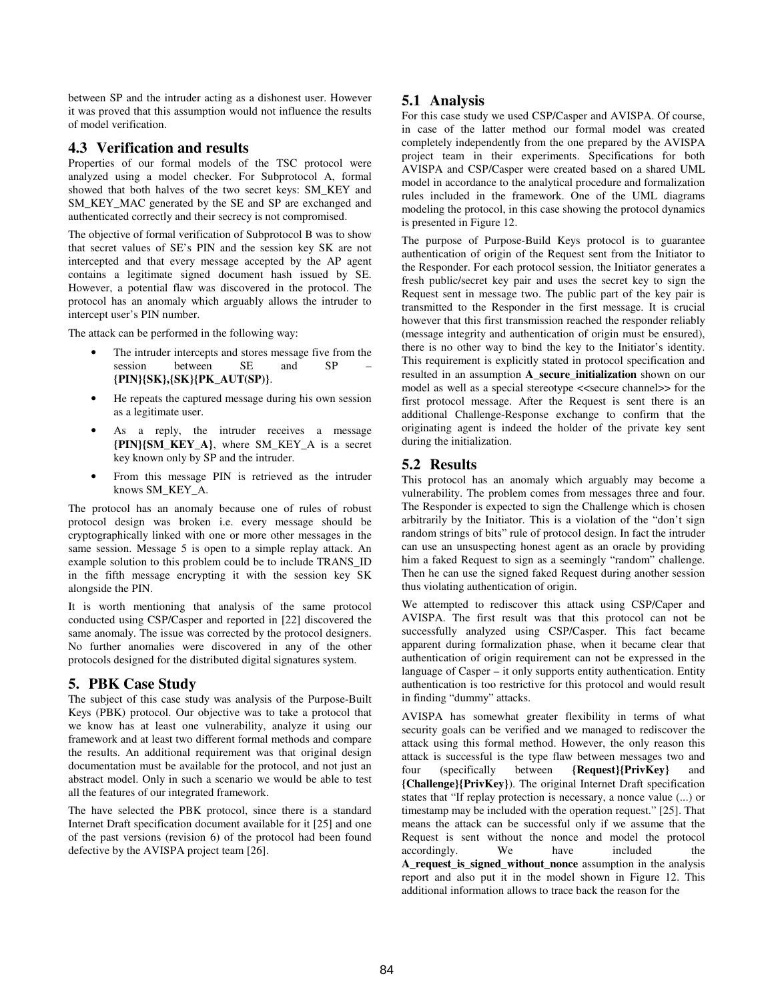between SP and the intruder acting as a dishonest user. However it was proved that this assumption would not influence the results of model verification.

## **4.3 Verification and results**

Properties of our formal models of the TSC protocol were analyzed using a model checker. For Subprotocol A, formal showed that both halves of the two secret keys: SM\_KEY and SM\_KEY\_MAC generated by the SE and SP are exchanged and authenticated correctly and their secrecy is not compromised.

The objective of formal verification of Subprotocol B was to show that secret values of SE's PIN and the session key SK are not intercepted and that every message accepted by the AP agent contains a legitimate signed document hash issued by SE. However, a potential flaw was discovered in the protocol. The protocol has an anomaly which arguably allows the intruder to intercept user's PIN number.

The attack can be performed in the following way:

- The intruder intercepts and stores message five from the session between SE and SP **{PIN}{SK},{SK}{PK\_AUT(SP)}**.
- He repeats the captured message during his own session as a legitimate user.
- As a reply, the intruder receives a message **{PIN}{SM\_KEY\_A}**, where SM\_KEY\_A is a secret key known only by SP and the intruder.
- From this message PIN is retrieved as the intruder knows SM\_KEY\_A.

The protocol has an anomaly because one of rules of robust protocol design was broken i.e. every message should be cryptographically linked with one or more other messages in the same session. Message 5 is open to a simple replay attack. An example solution to this problem could be to include TRANS\_ID in the fifth message encrypting it with the session key SK alongside the PIN.

It is worth mentioning that analysis of the same protocol conducted using CSP/Casper and reported in [22] discovered the same anomaly. The issue was corrected by the protocol designers. No further anomalies were discovered in any of the other protocols designed for the distributed digital signatures system.

## **5. PBK Case Study**

The subject of this case study was analysis of the Purpose-Built Keys (PBK) protocol. Our objective was to take a protocol that we know has at least one vulnerability, analyze it using our framework and at least two different formal methods and compare the results. An additional requirement was that original design documentation must be available for the protocol, and not just an abstract model. Only in such a scenario we would be able to test all the features of our integrated framework.

The have selected the PBK protocol, since there is a standard Internet Draft specification document available for it [25] and one of the past versions (revision 6) of the protocol had been found defective by the AVISPA project team [26].

# **5.1 Analysis**

For this case study we used CSP/Casper and AVISPA. Of course, in case of the latter method our formal model was created completely independently from the one prepared by the AVISPA project team in their experiments. Specifications for both AVISPA and CSP/Casper were created based on a shared UML model in accordance to the analytical procedure and formalization rules included in the framework. One of the UML diagrams modeling the protocol, in this case showing the protocol dynamics is presented in Figure 12.

The purpose of Purpose-Build Keys protocol is to guarantee authentication of origin of the Request sent from the Initiator to the Responder. For each protocol session, the Initiator generates a fresh public/secret key pair and uses the secret key to sign the Request sent in message two. The public part of the key pair is transmitted to the Responder in the first message. It is crucial however that this first transmission reached the responder reliably (message integrity and authentication of origin must be ensured), there is no other way to bind the key to the Initiator's identity. This requirement is explicitly stated in protocol specification and resulted in an assumption **A\_secure\_initialization** shown on our model as well as a special stereotype  $\lt$ secure channel>> for the first protocol message. After the Request is sent there is an additional Challenge-Response exchange to confirm that the originating agent is indeed the holder of the private key sent during the initialization.

# **5.2 Results**

This protocol has an anomaly which arguably may become a vulnerability. The problem comes from messages three and four. The Responder is expected to sign the Challenge which is chosen arbitrarily by the Initiator. This is a violation of the "don't sign random strings of bits" rule of protocol design. In fact the intruder can use an unsuspecting honest agent as an oracle by providing him a faked Request to sign as a seemingly "random" challenge. Then he can use the signed faked Request during another session thus violating authentication of origin.

We attempted to rediscover this attack using CSP/Caper and AVISPA. The first result was that this protocol can not be successfully analyzed using CSP/Casper. This fact became apparent during formalization phase, when it became clear that authentication of origin requirement can not be expressed in the language of Casper – it only supports entity authentication. Entity authentication is too restrictive for this protocol and would result in finding "dummy" attacks.

AVISPA has somewhat greater flexibility in terms of what security goals can be verified and we managed to rediscover the attack using this formal method. However, the only reason this attack is successful is the type flaw between messages two and four (specifically between **{Request}{PrivKey}** and **{Challenge}{PrivKey}**). The original Internet Draft specification states that "If replay protection is necessary, a nonce value (...) or timestamp may be included with the operation request." [25]. That means the attack can be successful only if we assume that the Request is sent without the nonce and model the protocol accordingly. We have included the **A\_request\_is\_signed\_without\_nonce** assumption in the analysis report and also put it in the model shown in Figure 12. This additional information allows to trace back the reason for the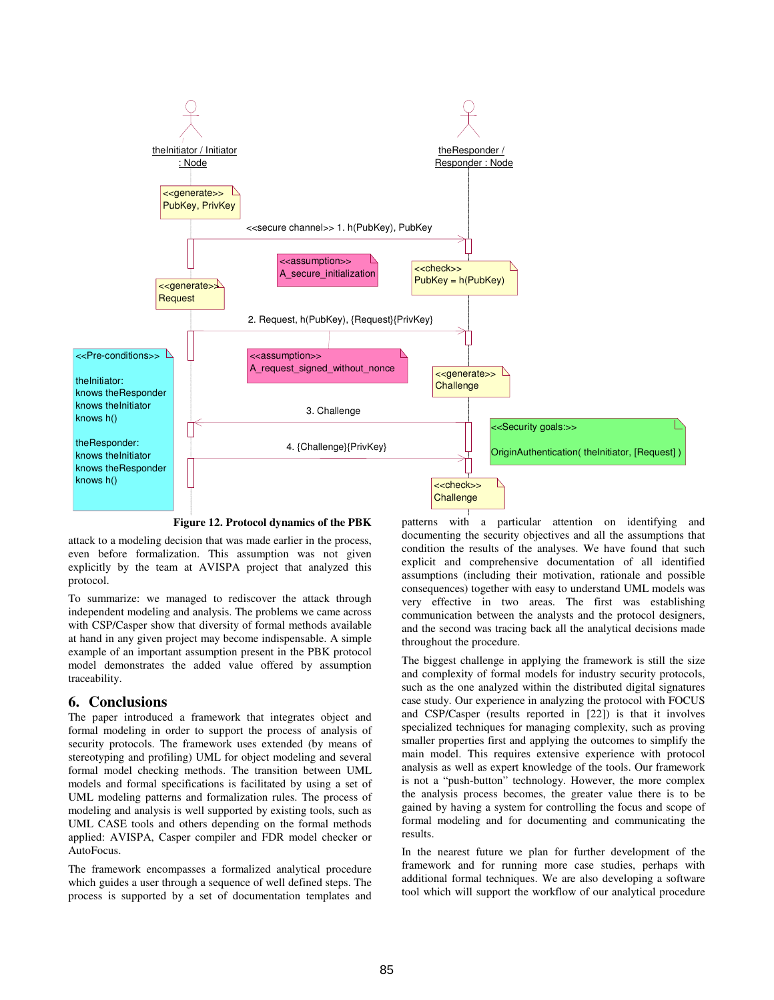

**Figure 12. Protocol dynamics of the PBK** 

attack to a modeling decision that was made earlier in the process, even before formalization. This assumption was not given explicitly by the team at AVISPA project that analyzed this protocol.

To summarize: we managed to rediscover the attack through independent modeling and analysis. The problems we came across with CSP/Casper show that diversity of formal methods available at hand in any given project may become indispensable. A simple example of an important assumption present in the PBK protocol model demonstrates the added value offered by assumption traceability.

#### **6. Conclusions**

The paper introduced a framework that integrates object and formal modeling in order to support the process of analysis of security protocols. The framework uses extended (by means of stereotyping and profiling) UML for object modeling and several formal model checking methods. The transition between UML models and formal specifications is facilitated by using a set of UML modeling patterns and formalization rules. The process of modeling and analysis is well supported by existing tools, such as UML CASE tools and others depending on the formal methods applied: AVISPA, Casper compiler and FDR model checker or AutoFocus.

The framework encompasses a formalized analytical procedure which guides a user through a sequence of well defined steps. The process is supported by a set of documentation templates and

patterns with a particular attention on identifying and documenting the security objectives and all the assumptions that condition the results of the analyses. We have found that such explicit and comprehensive documentation of all identified assumptions (including their motivation, rationale and possible consequences) together with easy to understand UML models was very effective in two areas. The first was establishing communication between the analysts and the protocol designers, and the second was tracing back all the analytical decisions made throughout the procedure.

The biggest challenge in applying the framework is still the size and complexity of formal models for industry security protocols, such as the one analyzed within the distributed digital signatures case study. Our experience in analyzing the protocol with FOCUS and CSP/Casper (results reported in [22]) is that it involves specialized techniques for managing complexity, such as proving smaller properties first and applying the outcomes to simplify the main model. This requires extensive experience with protocol analysis as well as expert knowledge of the tools. Our framework is not a "push-button" technology. However, the more complex the analysis process becomes, the greater value there is to be gained by having a system for controlling the focus and scope of formal modeling and for documenting and communicating the results.

In the nearest future we plan for further development of the framework and for running more case studies, perhaps with additional formal techniques. We are also developing a software tool which will support the workflow of our analytical procedure